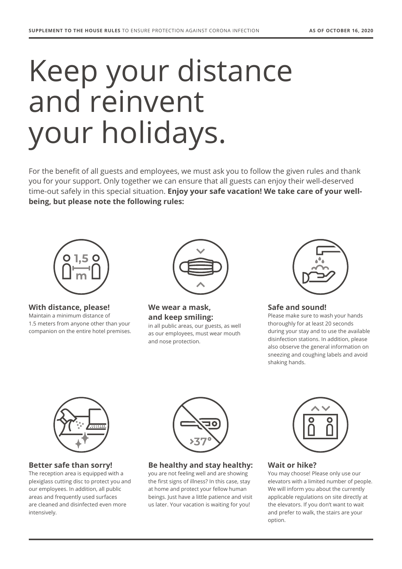# Keep your distance and reinvent your holidays.

For the benefit of all guests and employees, we must ask you to follow the given rules and thank you for your support. Only together we can ensure that all guests can enjoy their well-deserved time-out safely in this special situation. **Enjoy your safe vacation! We take care of your wellbeing, but please note the following rules:**



**With distance, please!** 

Maintain a minimum distance of 1.5 meters from anyone other than your companion on the entire hotel premises.



**We wear a mask, and keep smiling:** in all public areas, our guests, as well

as our employees, must wear mouth and nose protection.



## **Safe and sound!**

Please make sure to wash your hands thoroughly for at least 20 seconds during your stay and to use the available disinfection stations. In addition, please also observe the general information on sneezing and coughing labels and avoid shaking hands.



**Better safe than sorry!** 

The reception area is equipped with a plexiglass cutting disc to protect you and our employees. In addition, all public areas and frequently used surfaces are cleaned and disinfected even more intensively.



**Be healthy and stay healthy:**

you are not feeling well and are showing the first signs of illness? In this case, stay at home and protect your fellow human beings. Just have a little patience and visit us later. Your vacation is waiting for you!



## **Wait or hike?**

You may choose! Please only use our elevators with a limited number of people. We will inform you about the currently applicable regulations on site directly at the elevators. If you don't want to wait and prefer to walk, the stairs are your option.